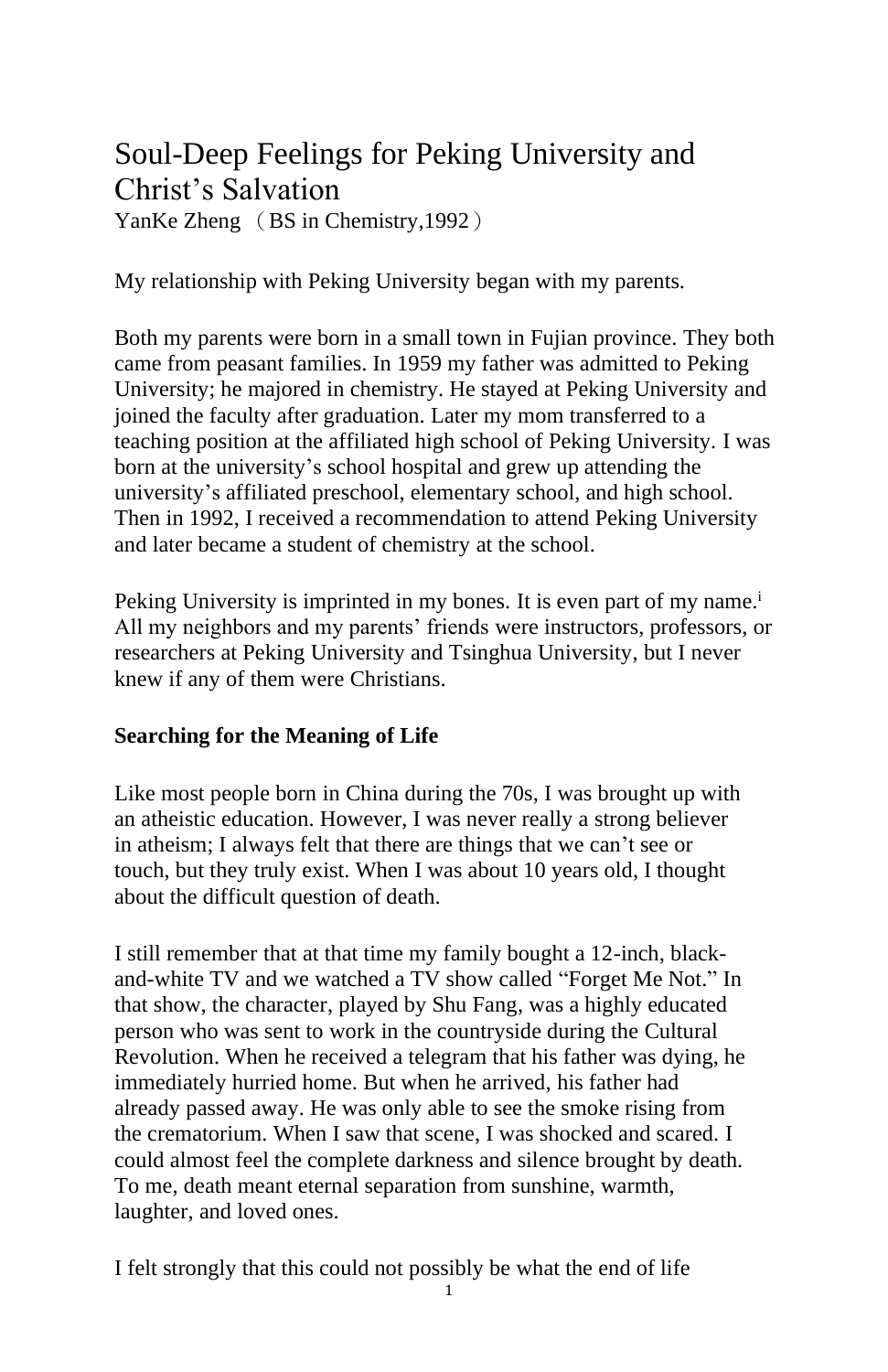# Soul-Deep Feelings for Peking University and Christ's Salvation

YanKe Zheng (BS in Chemistry, 1992)

My relationship with Peking University began with my parents.

Both my parents were born in a small town in Fujian province. They both came from peasant families. In 1959 my father was admitted to Peking University; he majored in chemistry. He stayed at Peking University and joined the faculty after graduation. Later my mom transferred to a teaching position at the affiliated high school of Peking University. I was born at the university's school hospital and grew up attending the university's affiliated preschool, elementary school, and high school. Then in 1992, I received a recommendation to attend Peking University and later became a student of chemistry at the school.

Peking University is imprinted in my bones. It is even part of my name.<sup>i</sup> All my neighbors and my parents' friends were instructors, professors, or researchers at Peking University and Tsinghua University, but I never knew if any of them were Christians.

## **Searching for the Meaning of Life**

Like most people born in China during the 70s, I was brought up with an atheistic education. However, I was never really a strong believer in atheism; I always felt that there are things that we can't see or touch, but they truly exist. When I was about 10 years old, I thought about the difficult question of death.

I still remember that at that time my family bought a 12-inch, blackand-white TV and we watched a TV show called "Forget Me Not." In that show, the character, played by Shu Fang, was a highly educated person who was sent to work in the countryside during the Cultural Revolution. When he received a telegram that his father was dying, he immediately hurried home. But when he arrived, his father had already passed away. He was only able to see the smoke rising from the crematorium. When I saw that scene, I was shocked and scared. I could almost feel the complete darkness and silence brought by death. To me, death meant eternal separation from sunshine, warmth, laughter, and loved ones.

I felt strongly that this could not possibly be what the end of life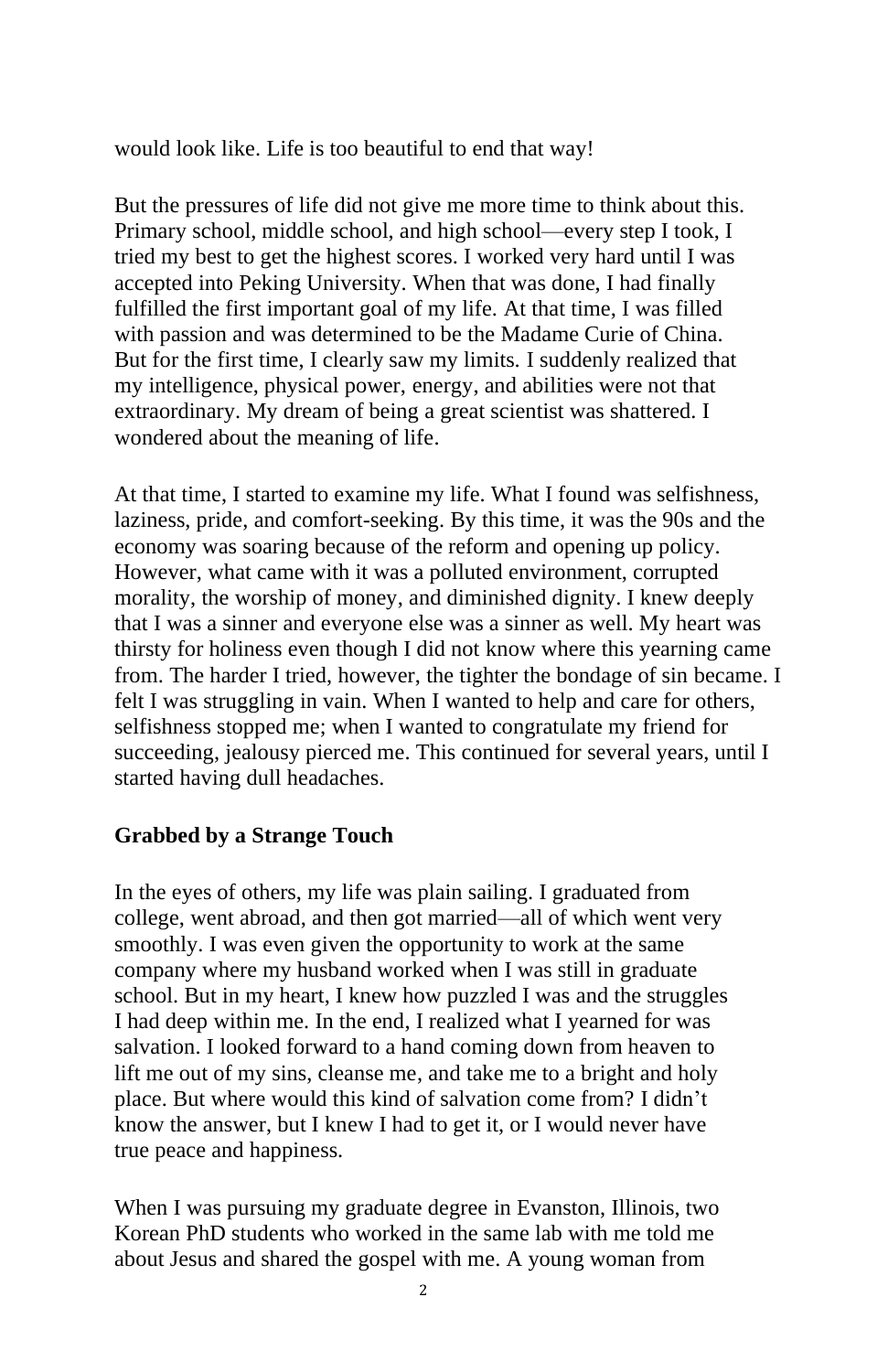would look like. Life is too beautiful to end that way!

But the pressures of life did not give me more time to think about this. Primary school, middle school, and high school—every step I took, I tried my best to get the highest scores. I worked very hard until I was accepted into Peking University. When that was done, I had finally fulfilled the first important goal of my life. At that time, I was filled with passion and was determined to be the Madame Curie of China. But for the first time, I clearly saw my limits. I suddenly realized that my intelligence, physical power, energy, and abilities were not that extraordinary. My dream of being a great scientist was shattered. I wondered about the meaning of life.

At that time, I started to examine my life. What I found was selfishness, laziness, pride, and comfort-seeking. By this time, it was the 90s and the economy was soaring because of the reform and opening up policy. However, what came with it was a polluted environment, corrupted morality, the worship of money, and diminished dignity. I knew deeply that I was a sinner and everyone else was a sinner as well. My heart was thirsty for holiness even though I did not know where this yearning came from. The harder I tried, however, the tighter the bondage of sin became. I felt I was struggling in vain. When I wanted to help and care for others, selfishness stopped me; when I wanted to congratulate my friend for succeeding, jealousy pierced me. This continued for several years, until I started having dull headaches.

#### **Grabbed by a Strange Touch**

In the eyes of others, my life was plain sailing. I graduated from college, went abroad, and then got married—all of which went very smoothly. I was even given the opportunity to work at the same company where my husband worked when I was still in graduate school. But in my heart, I knew how puzzled I was and the struggles I had deep within me. In the end, I realized what I yearned for was salvation. I looked forward to a hand coming down from heaven to lift me out of my sins, cleanse me, and take me to a bright and holy place. But where would this kind of salvation come from? I didn't know the answer, but I knew I had to get it, or I would never have true peace and happiness.

When I was pursuing my graduate degree in Evanston, Illinois, two Korean PhD students who worked in the same lab with me told me about Jesus and shared the gospel with me. A young woman from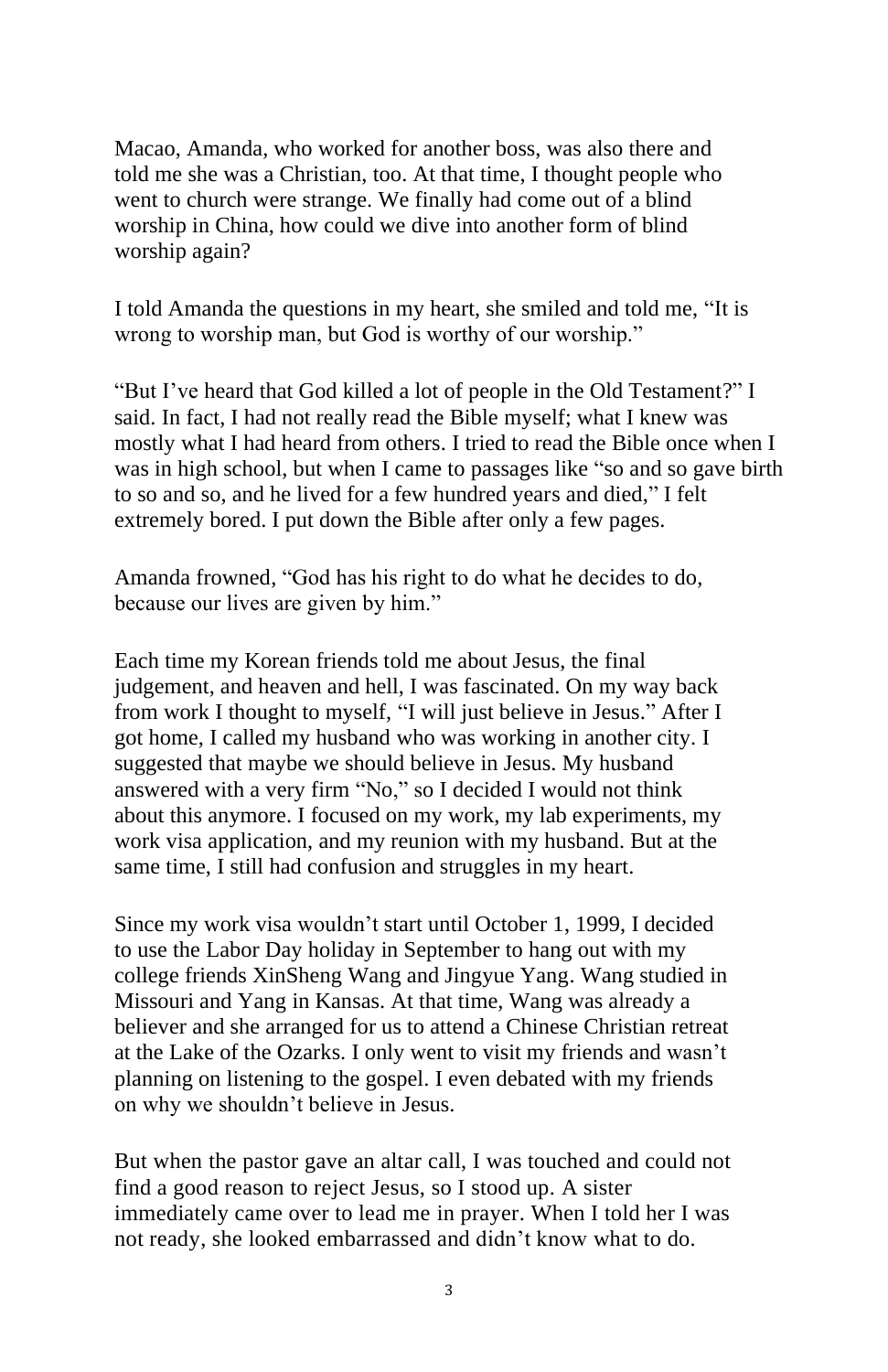Macao, Amanda, who worked for another boss, was also there and told me she was a Christian, too. At that time, I thought people who went to church were strange. We finally had come out of a blind worship in China, how could we dive into another form of blind worship again?

I told Amanda the questions in my heart, she smiled and told me, "It is wrong to worship man, but God is worthy of our worship."

"But I've heard that God killed a lot of people in the Old Testament?" I said. In fact, I had not really read the Bible myself; what I knew was mostly what I had heard from others. I tried to read the Bible once when I was in high school, but when I came to passages like "so and so gave birth to so and so, and he lived for a few hundred years and died," I felt extremely bored. I put down the Bible after only a few pages.

Amanda frowned, "God has his right to do what he decides to do, because our lives are given by him."

Each time my Korean friends told me about Jesus, the final judgement, and heaven and hell, I was fascinated. On my way back from work I thought to myself, "I will just believe in Jesus." After I got home, I called my husband who was working in another city. I suggested that maybe we should believe in Jesus. My husband answered with a very firm "No," so I decided I would not think about this anymore. I focused on my work, my lab experiments, my work visa application, and my reunion with my husband. But at the same time, I still had confusion and struggles in my heart.

Since my work visa wouldn't start until October 1, 1999, I decided to use the Labor Day holiday in September to hang out with my college friends XinSheng Wang and Jingyue Yang. Wang studied in Missouri and Yang in Kansas. At that time, Wang was already a believer and she arranged for us to attend a Chinese Christian retreat at the Lake of the Ozarks. I only went to visit my friends and wasn't planning on listening to the gospel. I even debated with my friends on why we shouldn't believe in Jesus.

But when the pastor gave an altar call, I was touched and could not find a good reason to reject Jesus, so I stood up. A sister immediately came over to lead me in prayer. When I told her I was not ready, she looked embarrassed and didn't know what to do.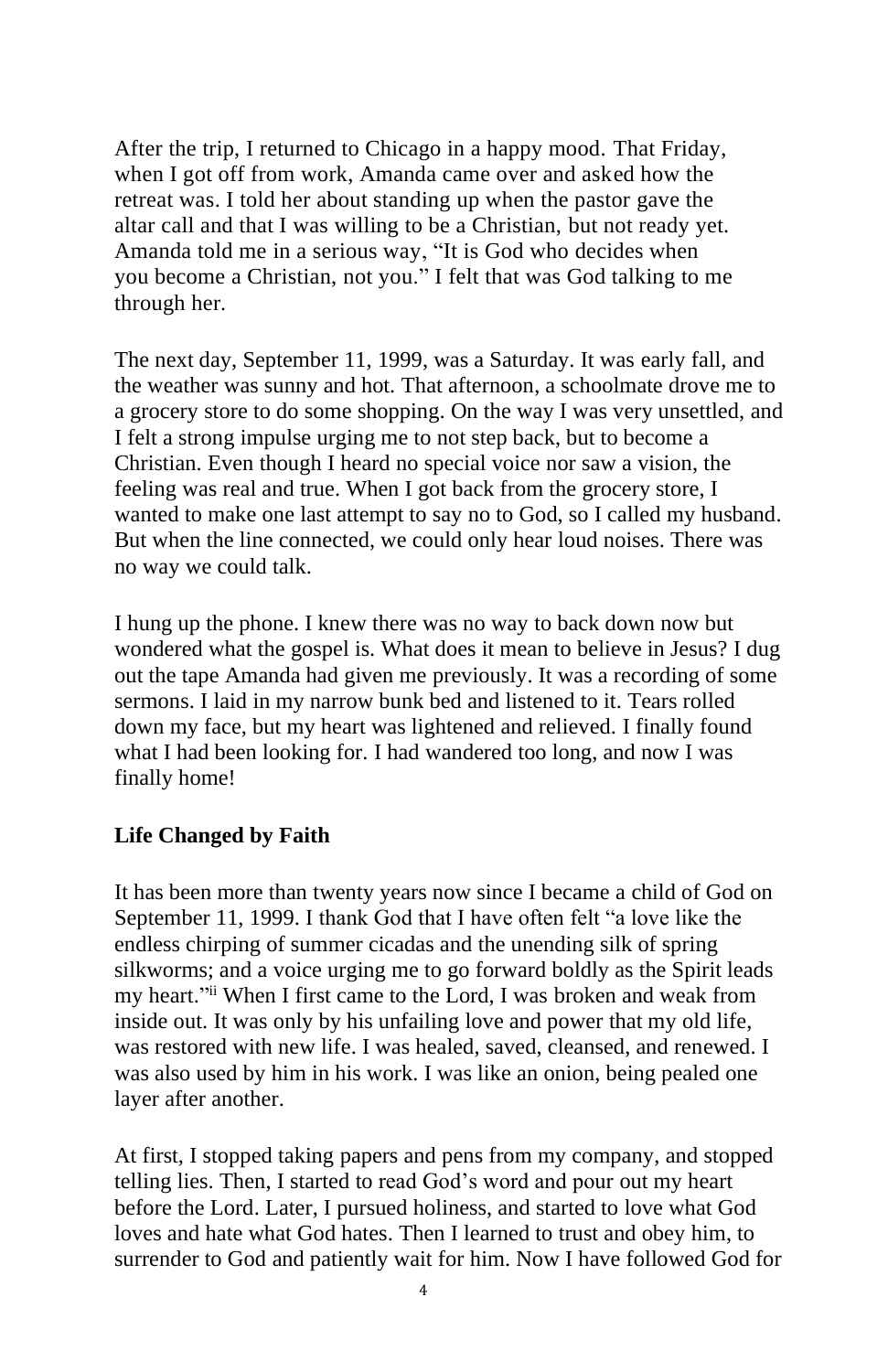After the trip, I returned to Chicago in a happy mood. That Friday, when I got off from work, Amanda came over and asked how the retreat was. I told her about standing up when the pastor gave the altar call and that I was willing to be a Christian, but not ready yet. Amanda told me in a serious way, "It is God who decides when you become a Christian, not you." I felt that was God talking to me through her.

The next day, September 11, 1999, was a Saturday. It was early fall, and the weather was sunny and hot. That afternoon, a schoolmate drove me to a grocery store to do some shopping. On the way I was very unsettled, and I felt a strong impulse urging me to not step back, but to become a Christian. Even though I heard no special voice nor saw a vision, the feeling was real and true. When I got back from the grocery store, I wanted to make one last attempt to say no to God, so I called my husband. But when the line connected, we could only hear loud noises. There was no way we could talk.

I hung up the phone. I knew there was no way to back down now but wondered what the gospel is. What does it mean to believe in Jesus? I dug out the tape Amanda had given me previously. It was a recording of some sermons. I laid in my narrow bunk bed and listened to it. Tears rolled down my face, but my heart was lightened and relieved. I finally found what I had been looking for. I had wandered too long, and now I was finally home!

#### **Life Changed by Faith**

It has been more than twenty years now since I became a child of God on September 11, 1999. I thank God that I have often felt "a love like the endless chirping of summer cicadas and the unending silk of spring silkworms; and a voice urging me to go forward boldly as the Spirit leads my heart." ii When I first came to the Lord, I was broken and weak from inside out. It was only by his unfailing love and power that my old life, was restored with new life. I was healed, saved, cleansed, and renewed. I was also used by him in his work. I was like an onion, being pealed one layer after another.

At first, I stopped taking papers and pens from my company, and stopped telling lies. Then, I started to read God's word and pour out my heart before the Lord. Later, I pursued holiness, and started to love what God loves and hate what God hates. Then I learned to trust and obey him, to surrender to God and patiently wait for him. Now I have followed God for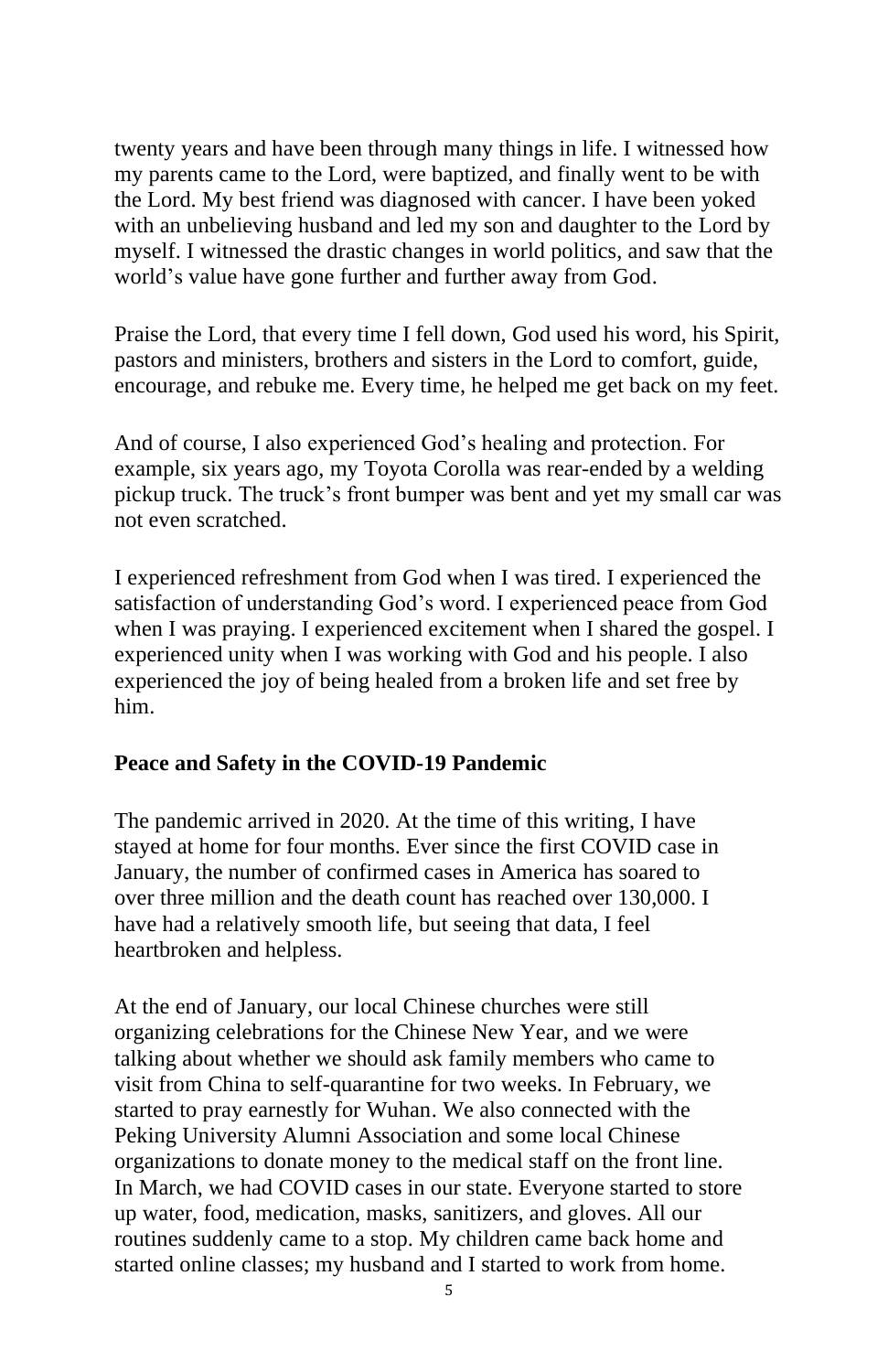twenty years and have been through many things in life. I witnessed how my parents came to the Lord, were baptized, and finally went to be with the Lord. My best friend was diagnosed with cancer. I have been yoked with an unbelieving husband and led my son and daughter to the Lord by myself. I witnessed the drastic changes in world politics, and saw that the world's value have gone further and further away from God.

Praise the Lord, that every time I fell down, God used his word, his Spirit, pastors and ministers, brothers and sisters in the Lord to comfort, guide, encourage, and rebuke me. Every time, he helped me get back on my feet.

And of course, I also experienced God's healing and protection. For example, six years ago, my Toyota Corolla was rear-ended by a welding pickup truck. The truck's front bumper was bent and yet my small car was not even scratched.

I experienced refreshment from God when I was tired. I experienced the satisfaction of understanding God's word. I experienced peace from God when I was praying. I experienced excitement when I shared the gospel. I experienced unity when I was working with God and his people. I also experienced the joy of being healed from a broken life and set free by him.

#### **Peace and Safety in the COVID-19 Pandemic**

The pandemic arrived in 2020. At the time of this writing, I have stayed at home for four months. Ever since the first COVID case in January, the number of confirmed cases in America has soared to over three million and the death count has reached over 130,000. I have had a relatively smooth life, but seeing that data, I feel heartbroken and helpless.

At the end of January, our local Chinese churches were still organizing celebrations for the Chinese New Year, and we were talking about whether we should ask family members who came to visit from China to self-quarantine for two weeks. In February, we started to pray earnestly for Wuhan. We also connected with the Peking University Alumni Association and some local Chinese organizations to donate money to the medical staff on the front line. In March, we had COVID cases in our state. Everyone started to store up water, food, medication, masks, sanitizers, and gloves. All our routines suddenly came to a stop. My children came back home and started online classes; my husband and I started to work from home.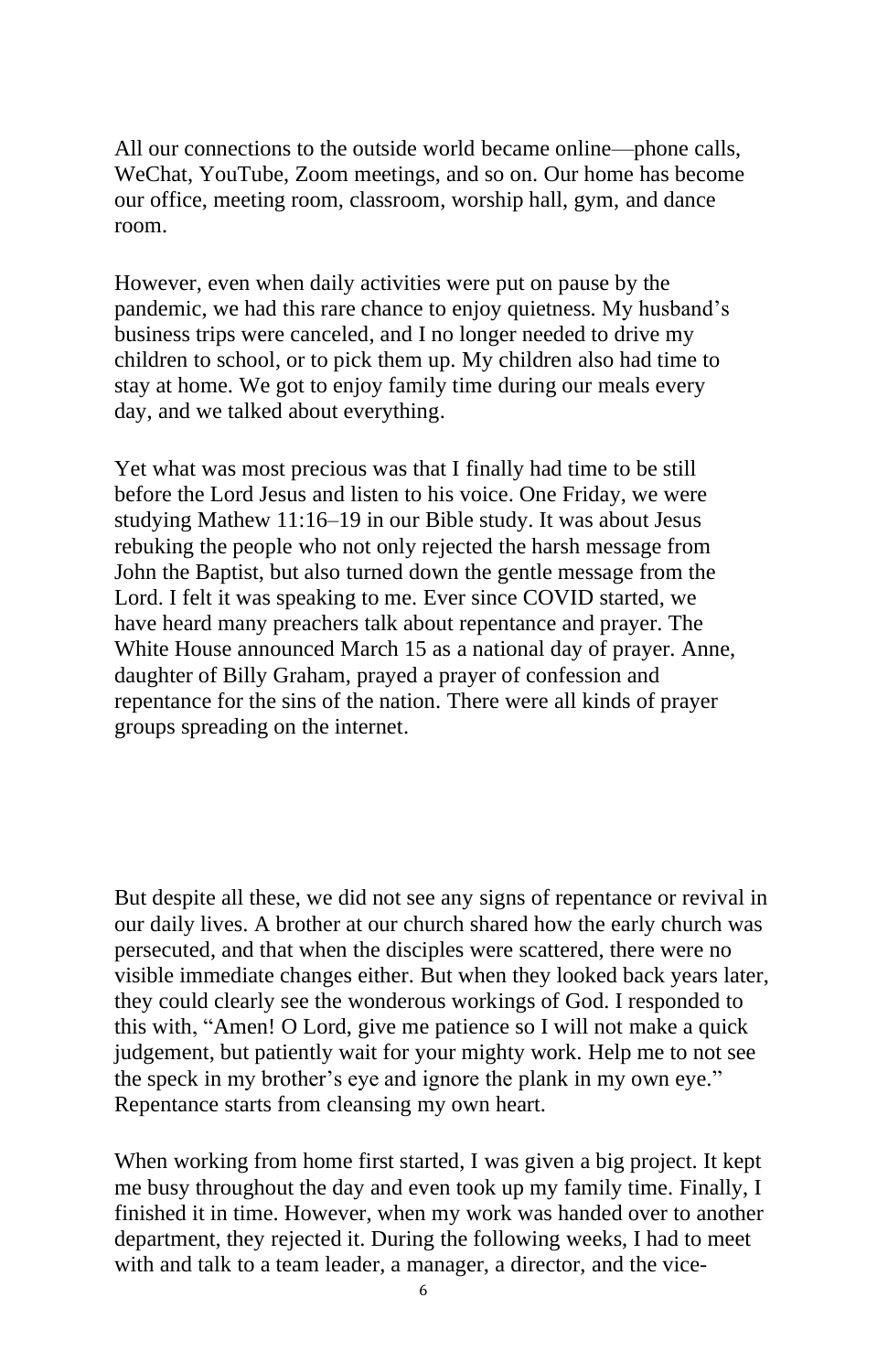All our connections to the outside world became online—phone calls, WeChat, YouTube, Zoom meetings, and so on. Our home has become our office, meeting room, classroom, worship hall, gym, and dance room.

However, even when daily activities were put on pause by the pandemic, we had this rare chance to enjoy quietness. My husband's business trips were canceled, and I no longer needed to drive my children to school, or to pick them up. My children also had time to stay at home. We got to enjoy family time during our meals every day, and we talked about everything.

Yet what was most precious was that I finally had time to be still before the Lord Jesus and listen to his voice. One Friday, we were studying Mathew 11:16–19 in our Bible study. It was about Jesus rebuking the people who not only rejected the harsh message from John the Baptist, but also turned down the gentle message from the Lord. I felt it was speaking to me. Ever since COVID started, we have heard many preachers talk about repentance and prayer. The White House announced March 15 as a national day of prayer. Anne, daughter of Billy Graham, prayed a prayer of confession and repentance for the sins of the nation. There were all kinds of prayer groups spreading on the internet.

But despite all these, we did not see any signs of repentance or revival in our daily lives. A brother at our church shared how the early church was persecuted, and that when the disciples were scattered, there were no visible immediate changes either. But when they looked back years later, they could clearly see the wonderous workings of God. I responded to this with, "Amen! O Lord, give me patience so I will not make a quick judgement, but patiently wait for your mighty work. Help me to not see the speck in my brother's eye and ignore the plank in my own eye." Repentance starts from cleansing my own heart.

When working from home first started, I was given a big project. It kept me busy throughout the day and even took up my family time. Finally, I finished it in time. However, when my work was handed over to another department, they rejected it. During the following weeks, I had to meet with and talk to a team leader, a manager, a director, and the vice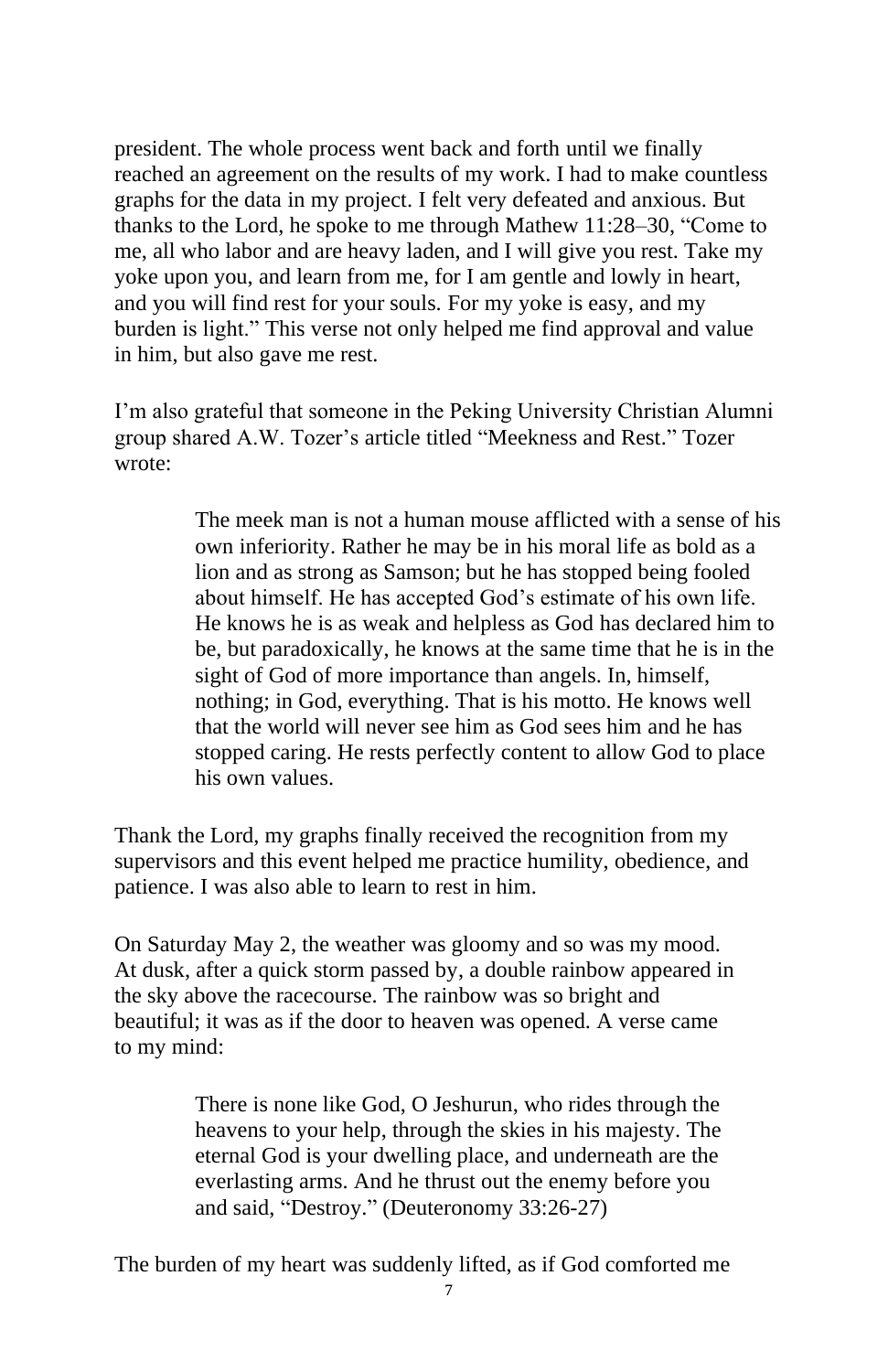president. The whole process went back and forth until we finally reached an agreement on the results of my work. I had to make countless graphs for the data in my project. I felt very defeated and anxious. But thanks to the Lord, he spoke to me through Mathew 11:28–30, "Come to me, all who labor and are heavy laden, and I will give you rest. Take my yoke upon you, and learn from me, for I am gentle and lowly in heart, and you will find rest for your souls. For my yoke is easy, and my burden is light." This verse not only helped me find approval and value in him, but also gave me rest.

I'm also grateful that someone in the Peking University Christian Alumni group shared A.W. Tozer's article titled "Meekness and Rest." Tozer wrote:

> The meek man is not a human mouse afflicted with a sense of his own inferiority. Rather he may be in his moral life as bold as a lion and as strong as Samson; but he has stopped being fooled about himself. He has accepted God's estimate of his own life. He knows he is as weak and helpless as God has declared him to be, but paradoxically, he knows at the same time that he is in the sight of God of more importance than angels. In, himself, nothing; in God, everything. That is his motto. He knows well that the world will never see him as God sees him and he has stopped caring. He rests perfectly content to allow God to place his own values.

Thank the Lord, my graphs finally received the recognition from my supervisors and this event helped me practice humility, obedience, and patience. I was also able to learn to rest in him.

On Saturday May 2, the weather was gloomy and so was my mood. At dusk, after a quick storm passed by, a double rainbow appeared in the sky above the racecourse. The rainbow was so bright and beautiful; it was as if the door to heaven was opened. A verse came to my mind:

> There is none like God, O Jeshurun, who rides through the heavens to your help, through the skies in his majesty. The eternal God is your dwelling place, and underneath are the everlasting arms. And he thrust out the enemy before you and said, "Destroy." (Deuteronomy 33:26-27)

The burden of my heart was suddenly lifted, as if God comforted me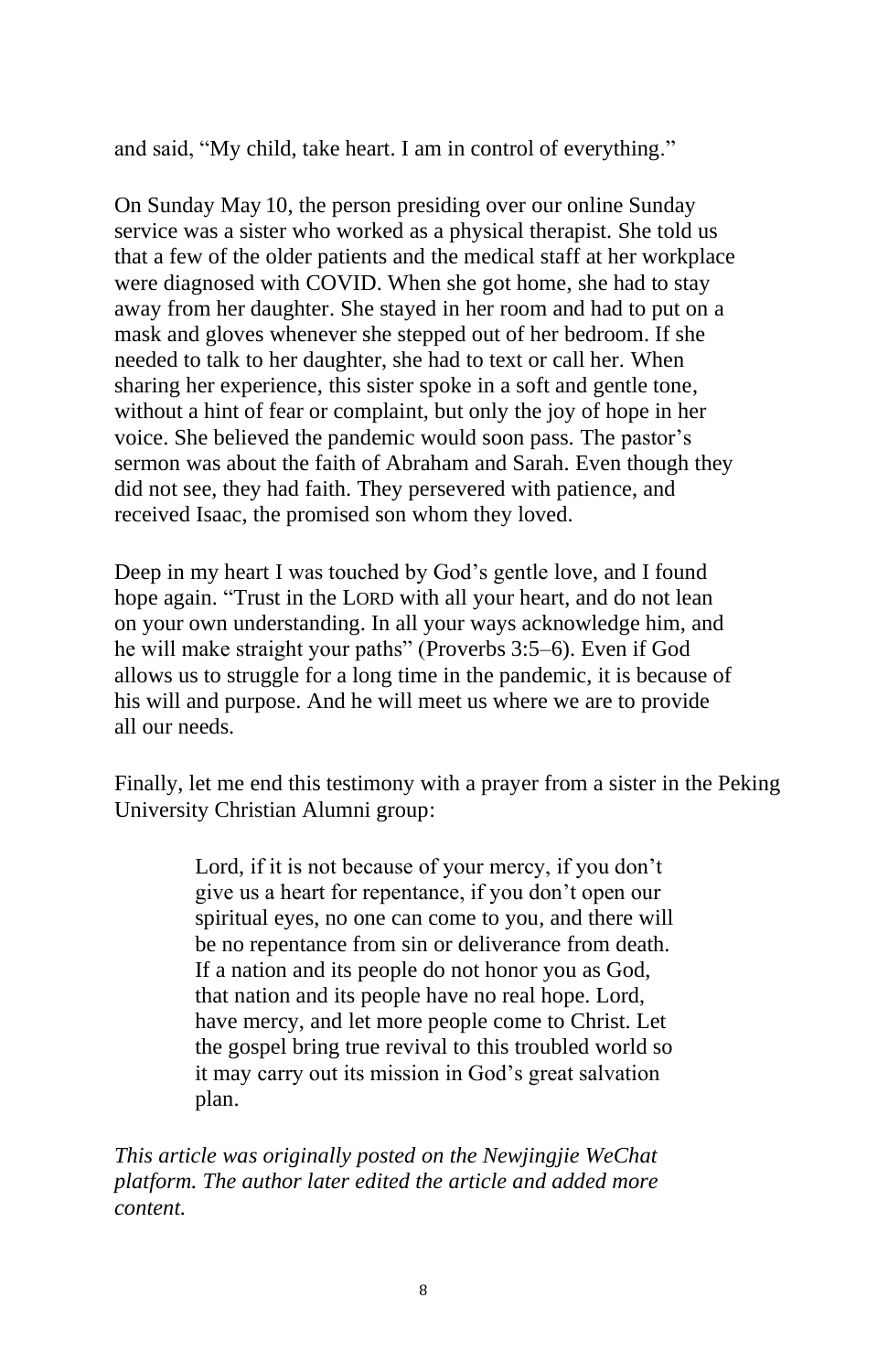and said, "My child, take heart. I am in control of everything."

On Sunday May 10, the person presiding over our online Sunday service was a sister who worked as a physical therapist. She told us that a few of the older patients and the medical staff at her workplace were diagnosed with COVID. When she got home, she had to stay away from her daughter. She stayed in her room and had to put on a mask and gloves whenever she stepped out of her bedroom. If she needed to talk to her daughter, she had to text or call her. When sharing her experience, this sister spoke in a soft and gentle tone, without a hint of fear or complaint, but only the joy of hope in her voice. She believed the pandemic would soon pass. The pastor's sermon was about the faith of Abraham and Sarah. Even though they did not see, they had faith. They persevered with patience, and received Isaac, the promised son whom they loved.

Deep in my heart I was touched by God's gentle love, and I found hope again. "Trust in the LORD with all your heart, and do not lean on your own understanding. In all your ways acknowledge him, and he will make straight your paths" (Proverbs 3:5–6). Even if God allows us to struggle for a long time in the pandemic, it is because of his will and purpose. And he will meet us where we are to provide all our needs.

Finally, let me end this testimony with a prayer from a sister in the Peking University Christian Alumni group:

> Lord, if it is not because of your mercy, if you don't give us a heart for repentance, if you don't open our spiritual eyes, no one can come to you, and there will be no repentance from sin or deliverance from death. If a nation and its people do not honor you as God, that nation and its people have no real hope. Lord, have mercy, and let more people come to Christ. Let the gospel bring true revival to this troubled world so it may carry out its mission in God's great salvation plan.

*This article was originally posted on the Newjingjie WeChat platform. The author later edited the article and added more content.*